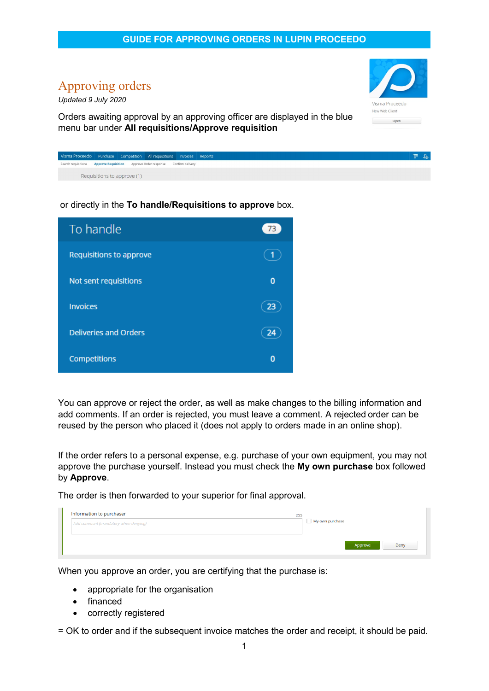## Approving orders

*Updated 9 July 2020*

Orders awaiting approval by an approving officer are displayed in the blue menu bar under **All requisitions/Approve requisition**



New Web Client

Open

or directly in the **To handle/Requisitions to approve** box.

| To handle                    |          |
|------------------------------|----------|
| Requisitions to approve      |          |
| Not sent requisitions        | $\bf{0}$ |
| <b>Invoices</b>              |          |
| <b>Deliveries and Orders</b> |          |
| Competitions                 | n        |

You can approve or reject the order, as well as make changes to the billing information and add comments. If an order is rejected, you must leave a comment. A rejected order can be reused by the person who placed it (does not apply to orders made in an online shop).

If the order refers to a personal expense, e.g. purchase of your own equipment, you may not approve the purchase yourself. Instead you must check the **My own purchase** box followed by **Approve**.

The order is then forwarded to your superior for final approval.

| Information to purchaser             | 255<br>My own purchase |
|--------------------------------------|------------------------|
| Add comment (mandatory when denying) |                        |
|                                      |                        |
|                                      | Approve<br>Deny        |

When you approve an order, you are certifying that the purchase is:

- appropriate for the organisation
- financed
- correctly registered

1 = OK to order and if the subsequent invoice matches the order and receipt, it should be paid.